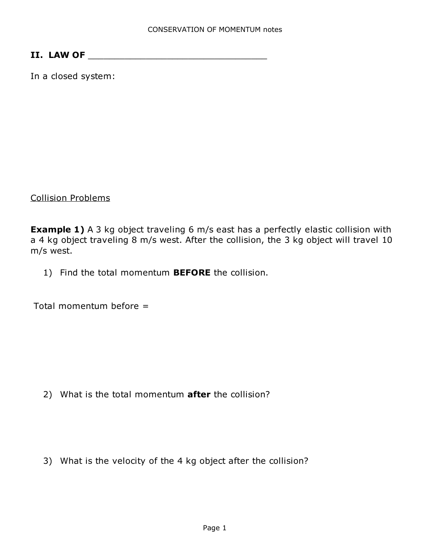## II. LAW OF \_\_\_\_\_\_\_\_\_\_\_\_\_\_\_\_\_\_\_\_\_\_\_\_\_\_\_\_\_\_\_\_\_\_

In a closed system:

Collision Problems

**Example 1)** A 3 kg object traveling 6 m/s east has a perfectly elastic collision with a 4 kg object traveling 8 m/s west. After the collision, the 3 kg object will travel 10 m/s west.

1) Find the total momentum **BEFORE** the collision.

Total momentum before =

2) What is the total momentum **after** the collision?

3) What is the velocity of the 4 kg object after the collision?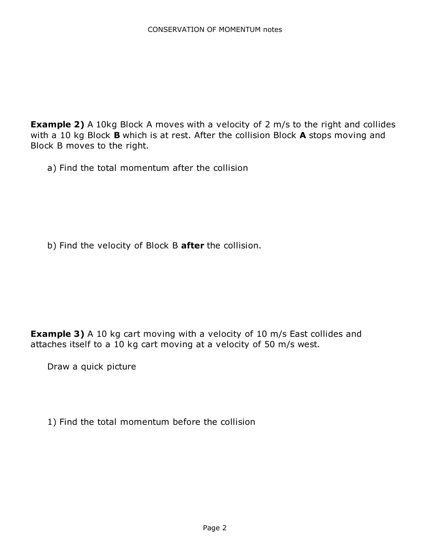**Example 2)** A 10kg Block A moves with a velocity of 2 m/s to the right and collides with a 10 kg Block **B** which is at rest. After the collision Block **A** stops moving and Block B moves to the right.

a) Find the total momentum after the collision

b) Find the velocity of Block B after the collision.

**Example 3)** A 10 kg cart moving with a velocity of 10 m/s East collides and attaches itself to a 10 kg cart moving at a velocity of 50 m/s west.

Draw a quick picture

1) Find the total momentum before the collision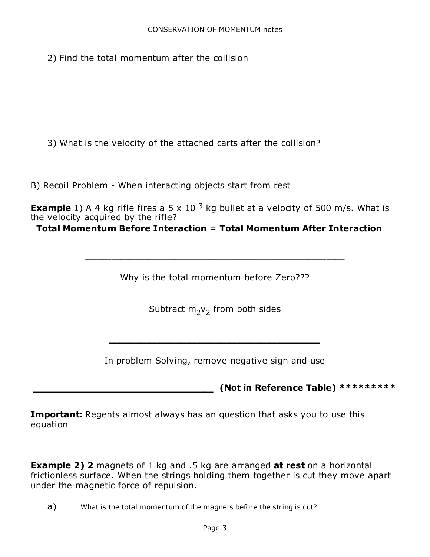2) Find the total momentum after the collision

3) What is the velocity of the attached carts after the collision?

B) Recoil Problem - When interacting objects start from rest

**Example** 1) A 4 kg rifle fires a 5 x  $10^{-3}$  kg bullet at a velocity of 500 m/s. What is the velocity acquired by the rifle?

Total Momentum Before Interaction = Total Momentum After Interaction

Why is the total momentum before Zero???

 $\overline{\phantom{a}}$  , where the contract of the contract of the contract of the contract of the contract of the contract of the contract of the contract of the contract of the contract of the contract of the contract of the contr

Subtract  $\mathsf{m}_2\mathsf{v}_2$  from both sides

In problem Solving, remove negative sign and use

 $\mathcal{L}_\text{max}$  , we can also assume that the contract of  $\mathcal{L}_\text{max}$ 

(Not in Reference Table) \*\*\*\*\*\*\*\*\*\*

**Important:** Regents almost always has an question that asks you to use this equation

**Example 2) 2** magnets of 1 kg and .5 kg are arranged **at rest** on a horizontal frictionless surface. When the strings holding them together is cut they move apart under the magnetic force of repulsion.

a) What is the total momentum of the magnets before the string is cut?